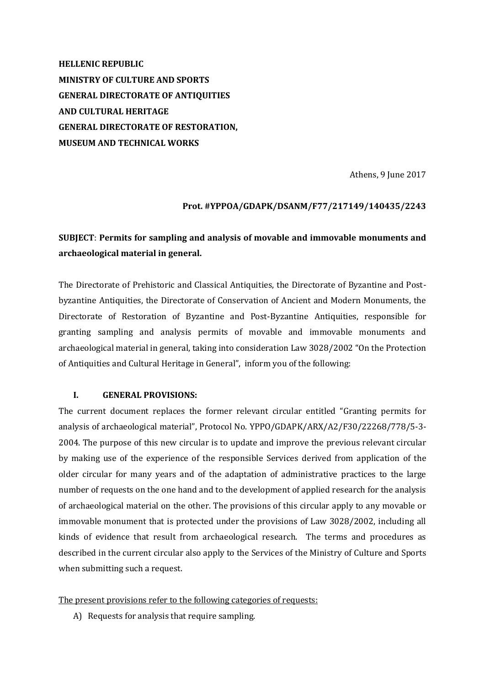**HELLENIC REPUBLIC MINISTRY OF CULTURE AND SPORTS GENERAL DIRECTORATE OF ANTIQUITIES AND CULTURAL HERITAGE GENERAL DIRECTORATE OF RESTORATION, MUSEUM AND TECHNICAL WORKS**

Athens, 9 June 2017

### **Prot. #YPPOA/GDAPK/DSANM/F77/217149/140435/2243**

## **SUBJECT**: **Permits for sampling and analysis of movable and immovable monuments and archaeological material in general.**

The Directorate of Prehistoric and Classical Antiquities, the Directorate of Byzantine and Postbyzantine Antiquities, the Directorate of Conservation of Ancient and Modern Monuments, the Directorate of Restoration of Byzantine and Post-Byzantine Antiquities, responsible for granting sampling and analysis permits of movable and immovable monuments and archaeological material in general, taking into consideration Law 3028/2002 "On the Protection of Antiquities and Cultural Heritage in General", inform you of the following:

### **I. GENERAL PROVISIONS:**

The current document replaces the former relevant circular entitled "Granting permits for analysis of archaeological material", Protocol No. YPPO/GDAPK/ARX/A2/F30/22268/778/5-3- 2004. The purpose of this new circular is to update and improve the previous relevant circular by making use of the experience of the responsible Services derived from application of the older circular for many years and of the adaptation of administrative practices to the large number of requests on the one hand and to the development of applied research for the analysis of archaeological material on the other. The provisions of this circular apply to any movable or immovable monument that is protected under the provisions of Law 3028/2002, including all kinds of evidence that result from archaeological research. The terms and procedures as described in the current circular also apply to the Services of the Ministry of Culture and Sports when submitting such a request.

### The present provisions refer to the following categories of requests:

A) Requests for analysis that require sampling.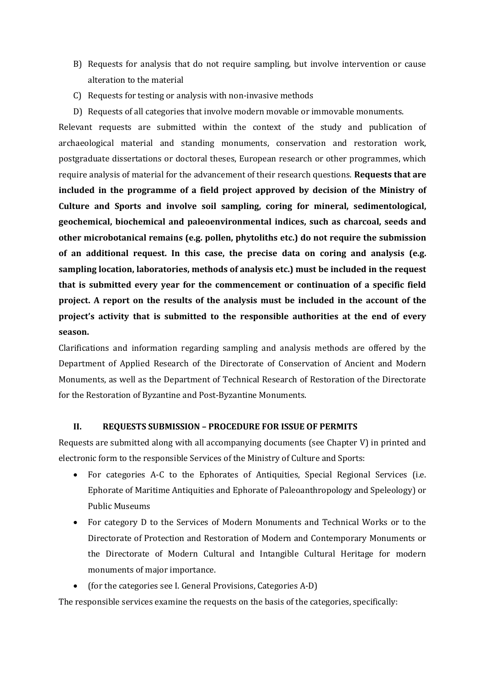- B) Requests for analysis that do not require sampling, but involve intervention or cause alteration to the material
- C) Requests for testing or analysis with non-invasive methods
- D) Requests of all categories that involve modern movable or immovable monuments.

Relevant requests are submitted within the context of the study and publication of archaeological material and standing monuments, conservation and restoration work, postgraduate dissertations or doctoral theses, European research or other programmes, which require analysis of material for the advancement of their research questions. **Requests that are included in the programme of a field project approved by decision of the Ministry of Culture and Sports and involve soil sampling, coring for mineral, sedimentological, geochemical, biochemical and paleoenvironmental indices, such as charcoal, seeds and other microbotanical remains (e.g. pollen, phytoliths etc.) do not require the submission of an additional request. In this case, the precise data on coring and analysis (e.g. sampling location, laboratories, methods of analysis etc.) must be included in the request that is submitted every year for the commencement or continuation of a specific field project. A report on the results of the analysis must be included in the account of the project's activity that is submitted to the responsible authorities at the end of every season.** 

Clarifications and information regarding sampling and analysis methods are offered by the Department of Applied Research of the Directorate of Conservation of Ancient and Modern Monuments, as well as the Department of Technical Research of Restoration of the Directorate for the Restoration of Byzantine and Post-Byzantine Monuments.

### **II. REQUESTS SUBMISSION – PROCEDURE FOR ISSUE OF PERMITS**

Requests are submitted along with all accompanying documents (see Chapter V) in printed and electronic form to the responsible Services of the Ministry of Culture and Sports:

- For categories A-C to the Ephorates of Antiquities, Special Regional Services (i.e. Ephorate of Maritime Antiquities and Ephorate of Paleoanthropology and Speleology) or Public Museums
- For category D to the Services of Modern Monuments and Technical Works or to the Directorate of Protection and Restoration of Modern and Contemporary Monuments or the Directorate of Modern Cultural and Intangible Cultural Heritage for modern monuments of major importance.
- (for the categories see I. General Provisions, Categories A-D)

The responsible services examine the requests on the basis of the categories, specifically: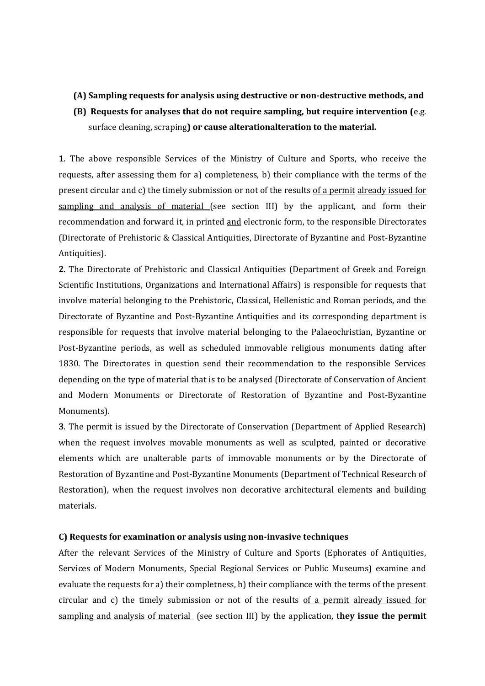### **(A) Sampling requests for analysis using destructive or non-destructive methods, and**

# **(B) Requests for analyses that do not require sampling, but require intervention (**e.g. surface cleaning, scraping**) or cause alterationalteration to the material.**

**1**. The above responsible Services of the Ministry of Culture and Sports, who receive the requests, after assessing them for a) completeness, b) their compliance with the terms of the present circular and c) the timely submission or not of the results of a permit already issued for sampling and analysis of material (see section III) by the applicant, and form their recommendation and forward it, in printed and electronic form, to the responsible Directorates (Directorate of Prehistoric & Classical Antiquities, Directorate of Byzantine and Post-Byzantine Antiquities).

**2**. The Directorate of Prehistoric and Classical Antiquities (Department of Greek and Foreign Scientific Institutions, Organizations and International Affairs) is responsible for requests that involve material belonging to the Prehistoric, Classical, Hellenistic and Roman periods, and the Directorate of Byzantine and Post-Byzantine Antiquities and its corresponding department is responsible for requests that involve material belonging to the Palaeochristian, Byzantine or Post-Byzantine periods, as well as scheduled immovable religious monuments dating after 1830. The Directorates in question send their recommendation to the responsible Services depending on the type of material that is to be analysed (Directorate of Conservation of Ancient and Modern Monuments or Directorate of Restoration of Byzantine and Post-Byzantine Monuments).

**3**. The permit is issued by the Directorate of Conservation (Department of Applied Research) when the request involves movable monuments as well as sculpted, painted or decorative elements which are unalterable parts of immovable monuments or by the Directorate of Restoration of Byzantine and Post-Byzantine Monuments (Department of Technical Research of Restoration), when the request involves non decorative architectural elements and building materials.

### **C) Requests for examination or analysis using non-invasive techniques**

After the relevant Services of the Ministry of Culture and Sports (Ephorates of Antiquities, Services of Modern Monuments, Special Regional Services or Public Museums) examine and evaluate the requests for a) their completness, b) their compliance with the terms of the present circular and c) the timely submission or not of the results of a permit already issued for sampling and analysis of material (see section III) by the application, t**hey issue the permit**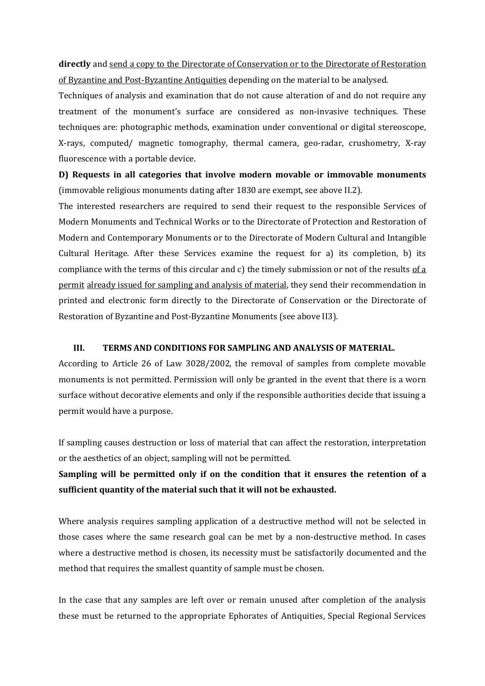**directly** and send a copy to the Directorate of Conservation or to the Directorate of Restoration of Byzantine and Post-Byzantine Antiquities depending on the material to be analysed.

Techniques of analysis and examination that do not cause alteration of and do not require any treatment of the monument's surface are considered as non-invasive techniques. These techniques are: photographic methods, examination under conventional or digital stereoscope, X-rays, computed/ magnetic tomography, thermal camera, geo-radar, crushometry, X-ray fluorescence with a portable device.

**D) Requests in all categories that involve modern movable or immovable monuments** (immovable religious monuments dating after 1830 are exempt, see above II.2).

The interested researchers are required to send their request to the responsible Services of Modern Monuments and Technical Works or to the Directorate of Protection and Restoration of Modern and Contemporary Monuments or to the Directorate of Modern Cultural and Intangible Cultural Heritage. After these Services examine the request for a) its completion, b) its compliance with the terms of this circular and c) the timely submission or not of the results of  $a$ permit already issued for sampling and analysis of material, they send their recommendation in printed and electronic form directly to the Directorate of Conservation or the Directorate of Restoration of Byzantine and Post-Byzantine Monuments (see above II3).

### **III. TERMS AND CONDITIONS FOR SAMPLING AND ANALYSIS OF MATERIAL.**

According to Article 26 of Law 3028/2002, the removal of samples from complete movable monuments is not permitted. Permission will only be granted in the event that there is a worn surface without decorative elements and only if the responsible authorities decide that issuing a permit would have a purpose.

If sampling causes destruction or loss of material that can affect the restoration, interpretation or the aesthetics of an object, sampling will not be permitted.

**Sampling will be permitted only if on the condition that it ensures the retention of a sufficient quantity of the material such that it will not be exhausted.**

Where analysis requires sampling application of a destructive method will not be selected in those cases where the same research goal can be met by a non-destructive method. In cases where a destructive method is chosen, its necessity must be satisfactorily documented and the method that requires the smallest quantity of sample must be chosen.

In the case that any samples are left over or remain unused after completion of the analysis these must be returned to the appropriate Ephorates of Antiquities, Special Regional Services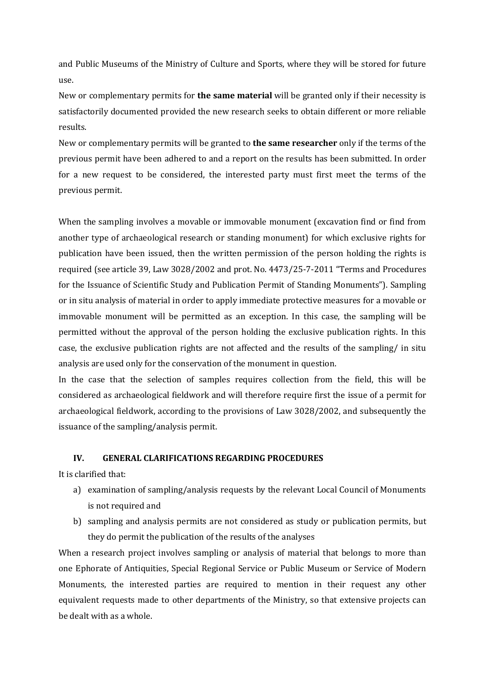and Public Museums of the Ministry of Culture and Sports, where they will be stored for future use.

New or complementary permits for **the same material** will be granted only if their necessity is satisfactorily documented provided the new research seeks to obtain different or more reliable results.

New or complementary permits will be granted to **the same researcher** only if the terms of the previous permit have been adhered to and a report on the results has been submitted. In order for a new request to be considered, the interested party must first meet the terms of the previous permit.

When the sampling involves a movable or immovable monument (excavation find or find from another type of archaeological research or standing monument) for which exclusive rights for publication have been issued, then the written permission of the person holding the rights is required (see article 39, Law 3028/2002 and prot. No. 4473/25-7-2011 "Terms and Procedures for the Issuance of Scientific Study and Publication Permit of Standing Monuments"). Sampling or in situ analysis of material in order to apply immediate protective measures for a movable or immovable monument will be permitted as an exception. In this case, the sampling will be permitted without the approval of the person holding the exclusive publication rights. In this case, the exclusive publication rights are not affected and the results of the sampling/ in situ analysis are used only for the conservation of the monument in question.

In the case that the selection of samples requires collection from the field, this will be considered as archaeological fieldwork and will therefore require first the issue of a permit for archaeological fieldwork, according to the provisions of Law 3028/2002, and subsequently the issuance of the sampling/analysis permit.

### **IV. GENERAL CLARIFICATIONS REGARDING PROCEDURES**

It is clarified that:

- a) examination of sampling/analysis requests by the relevant Local Council of Monuments is not required and
- b) sampling and analysis permits are not considered as study or publication permits, but they do permit the publication of the results of the analyses

When a research project involves sampling or analysis of material that belongs to more than one Ephorate of Antiquities, Special Regional Service or Public Museum or Service of Modern Monuments, the interested parties are required to mention in their request any other equivalent requests made to other departments of the Ministry, so that extensive projects can be dealt with as a whole.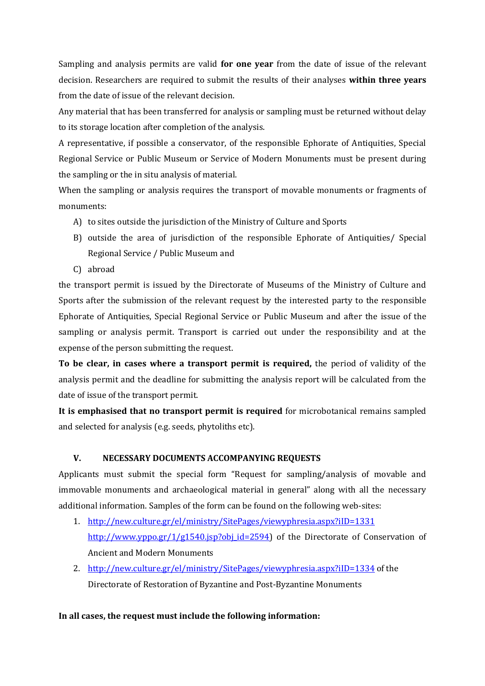Sampling and analysis permits are valid **for one year** from the date of issue of the relevant decision. Researchers are required to submit the results of their analyses **within three years** from the date of issue of the relevant decision.

Any material that has been transferred for analysis or sampling must be returned without delay to its storage location after completion of the analysis.

A representative, if possible a conservator, of the responsible Ephorate of Antiquities, Special Regional Service or Public Museum or Service of Modern Monuments must be present during the sampling or the in situ analysis of material.

When the sampling or analysis requires the transport of movable monuments or fragments of monuments:

- A) to sites outside the jurisdiction of the Ministry of Culture and Sports
- B) outside the area of jurisdiction of the responsible Ephorate of Antiquities/ Special Regional Service / Public Museum and
- C) abroad

the transport permit is issued by the Directorate of Museums of the Ministry of Culture and Sports after the submission of the relevant request by the interested party to the responsible Ephorate of Antiquities, Special Regional Service or Public Museum and after the issue of the sampling or analysis permit. Transport is carried out under the responsibility and at the expense of the person submitting the request.

**To be clear, in cases where a transport permit is required,** the period of validity of the analysis permit and the deadline for submitting the analysis report will be calculated from the date of issue of the transport permit.

**It is emphasised that no transport permit is required** for microbotanical remains sampled and selected for analysis (e.g. seeds, phytoliths etc).

### **V. NECESSARY DOCUMENTS ACCOMPANYING REQUESTS**

Applicants must submit the special form "Request for sampling/analysis of movable and immovable monuments and archaeological material in general" along with all the necessary additional information. Samples of the form can be found on the following web-sites:

- 1. <http://new.culture.gr/el/ministry/SitePages/viewyphresia.aspx?iID=1331> [http://www.yppo.gr/1/g1540.jsp?obj\\_id=2594\)](http://www.yppo.gr/1/g1540.jsp?obj_id=2594) of the Directorate of Conservation of Ancient and Modern Monuments
- 2. <http://new.culture.gr/el/ministry/SitePages/viewyphresia.aspx?iID=1334> of the Directorate of Restoration of Byzantine and Post-Byzantine Monuments

### **In all cases, the request must include the following information:**